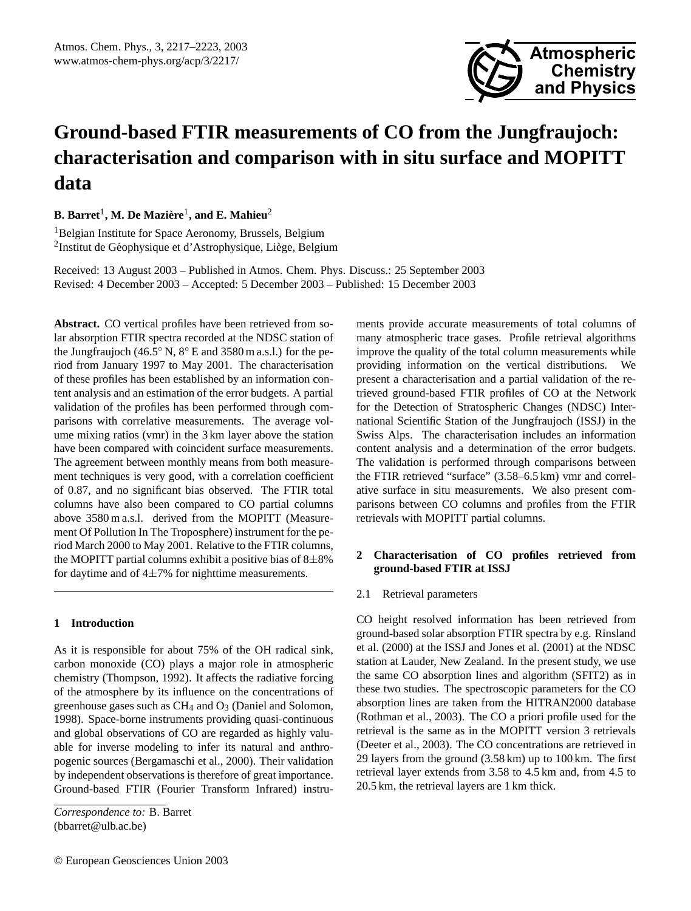

# **Ground-based FTIR measurements of CO from the Jungfraujoch: characterisation and comparison with in situ surface and MOPITT data**

 ${\bf B.\,Barret}^1,$  M. De Mazière<sup>1</sup>, and E. Mahieu<sup>2</sup>

<sup>1</sup>Belgian Institute for Space Aeronomy, Brussels, Belgium <sup>2</sup>Institut de Géophysique et d'Astrophysique, Liège, Belgium

Received: 13 August 2003 – Published in Atmos. Chem. Phys. Discuss.: 25 September 2003 Revised: 4 December 2003 – Accepted: 5 December 2003 – Published: 15 December 2003

**Abstract.** CO vertical profiles have been retrieved from solar absorption FTIR spectra recorded at the NDSC station of the Jungfraujoch (46.5 $\degree$  N, 8 $\degree$  E and 3580 m a.s.l.) for the period from January 1997 to May 2001. The characterisation of these profiles has been established by an information content analysis and an estimation of the error budgets. A partial validation of the profiles has been performed through comparisons with correlative measurements. The average volume mixing ratios (vmr) in the 3 km layer above the station have been compared with coincident surface measurements. The agreement between monthly means from both measurement techniques is very good, with a correlation coefficient of 0.87, and no significant bias observed. The FTIR total columns have also been compared to CO partial columns above 3580 m a.s.l. derived from the MOPITT (Measurement Of Pollution In The Troposphere) instrument for the period March 2000 to May 2001. Relative to the FTIR columns, the MOPITT partial columns exhibit a positive bias of  $8\pm8\%$ for daytime and of  $4\pm7\%$  for nighttime measurements.

## **1 Introduction**

As it is responsible for about 75% of the OH radical sink, carbon monoxide (CO) plays a major role in atmospheric chemistry (Thompson, 1992). It affects the radiative forcing of the atmosphere by its influence on the concentrations of greenhouse gases such as  $CH_4$  and  $O_3$  (Daniel and Solomon, 1998). Space-borne instruments providing quasi-continuous and global observations of CO are regarded as highly valuable for inverse modeling to infer its natural and anthropogenic sources (Bergamaschi et al., 2000). Their validation by independent observations is therefore of great importance. Ground-based FTIR (Fourier Transform Infrared) instruments provide accurate measurements of total columns of many atmospheric trace gases. Profile retrieval algorithms improve the quality of the total column measurements while providing information on the vertical distributions. We present a characterisation and a partial validation of the retrieved ground-based FTIR profiles of CO at the Network for the Detection of Stratospheric Changes (NDSC) International Scientific Station of the Jungfraujoch (ISSJ) in the Swiss Alps. The characterisation includes an information content analysis and a determination of the error budgets. The validation is performed through comparisons between the FTIR retrieved "surface" (3.58–6.5 km) vmr and correlative surface in situ measurements. We also present comparisons between CO columns and profiles from the FTIR retrievals with MOPITT partial columns.

# **2 Characterisation of CO profiles retrieved from ground-based FTIR at ISSJ**

## 2.1 Retrieval parameters

CO height resolved information has been retrieved from ground-based solar absorption FTIR spectra by e.g. Rinsland et al. (2000) at the ISSJ and Jones et al. (2001) at the NDSC station at Lauder, New Zealand. In the present study, we use the same CO absorption lines and algorithm (SFIT2) as in these two studies. The spectroscopic parameters for the CO absorption lines are taken from the HITRAN2000 database (Rothman et al., 2003). The CO a priori profile used for the retrieval is the same as in the MOPITT version 3 retrievals (Deeter et al., 2003). The CO concentrations are retrieved in 29 layers from the ground (3.58 km) up to 100 km. The first retrieval layer extends from 3.58 to 4.5 km and, from 4.5 to 20.5 km, the retrieval layers are 1 km thick.

*Correspondence to:* B. Barret (bbarret@ulb.ac.be)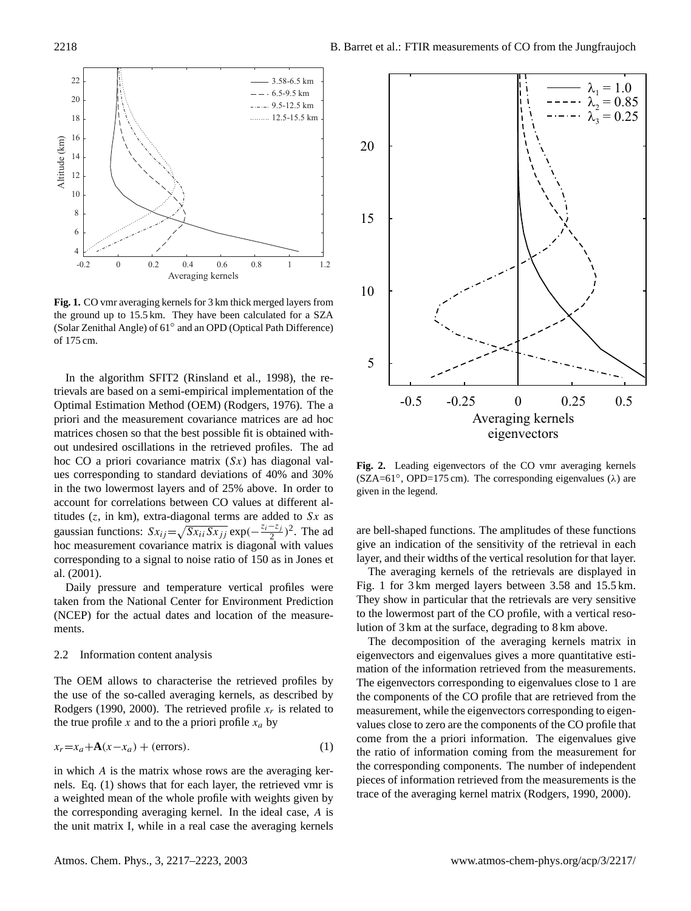

**Fig. 1.** CO vmr averaging kernels for 3 km thick merged layers from the ground up to 15.5 km. They have been calculated for a SZA (Solar Zenithal Angle) of 61◦ and an OPD (Optical Path Difference) of 175 cm.

In the algorithm SFIT2 (Rinsland et al., 1998), the retrievals are based on a semi-empirical implementation of the Optimal Estimation Method (OEM) (Rodgers, 1976). The a priori and the measurement covariance matrices are ad hoc matrices chosen so that the best possible fit is obtained without undesired oscillations in the retrieved profiles. The ad hoc CO a priori covariance matrix  $(Sx)$  has diagonal values corresponding to standard deviations of 40% and 30% in the two lowermost layers and of 25% above. In order to account for correlations between CO values at different altitudes ( $z$ , in km), extra-diagonal terms are added to  $Sx$  as gaussian functions:  $Sx_{ij} = \sqrt{Sx_{ii}Sx_{jj}}$  exp $\left(-\frac{z_i - z_j}{2}\right)$  $\frac{-z_j}{2}$ )<sup>2</sup>. The ad hoc measurement covariance matrix is diagonal with values corresponding to a signal to noise ratio of 150 as in Jones et al. (2001).

Daily pressure and temperature vertical profiles were taken from the National Center for Environment Prediction (NCEP) for the actual dates and location of the measurements.

#### 2.2 Information content analysis

The OEM allows to characterise the retrieved profiles by the use of the so-called averaging kernels, as described by Rodgers (1990, 2000). The retrieved profile  $x_r$  is related to the true profile x and to the a priori profile  $x_a$  by

$$
x_r = x_a + A(x - x_a) + \text{(errors)}.
$$
 (1)

in which A is the matrix whose rows are the averaging kernels. Eq. (1) shows that for each layer, the retrieved vmr is a weighted mean of the whole profile with weights given by the corresponding averaging kernel. In the ideal case, A is the unit matrix I, while in a real case the averaging kernels



**Fig. 2.** Leading eigenvectors of the CO vmr averaging kernels  $(SZA=61°, OPD=175 cm)$ . The corresponding eigenvalues ( $\lambda$ ) are given in the legend.

are bell-shaped functions. The amplitudes of these functions give an indication of the sensitivity of the retrieval in each layer, and their widths of the vertical resolution for that layer.

The averaging kernels of the retrievals are displayed in Fig. 1 for 3 km merged layers between 3.58 and 15.5 km. They show in particular that the retrievals are very sensitive to the lowermost part of the CO profile, with a vertical resolution of 3 km at the surface, degrading to 8 km above.

The decomposition of the averaging kernels matrix in eigenvectors and eigenvalues gives a more quantitative estimation of the information retrieved from the measurements. The eigenvectors corresponding to eigenvalues close to 1 are the components of the CO profile that are retrieved from the measurement, while the eigenvectors corresponding to eigenvalues close to zero are the components of the CO profile that come from the a priori information. The eigenvalues give the ratio of information coming from the measurement for the corresponding components. The number of independent pieces of information retrieved from the measurements is the trace of the averaging kernel matrix (Rodgers, 1990, 2000).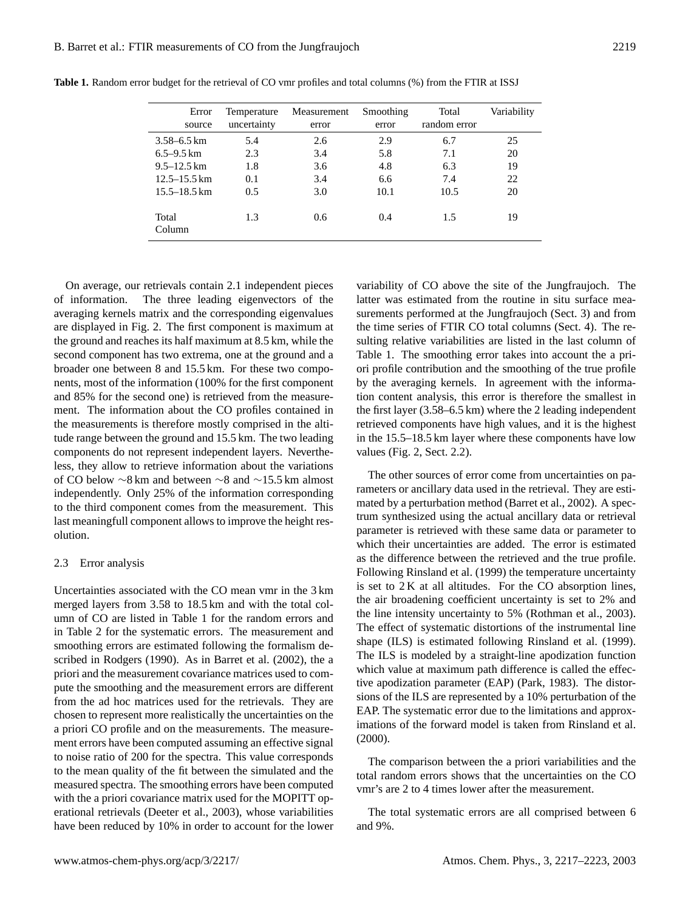| Error<br>source  | Temperature<br>uncertainty | Measurement<br>error | Smoothing<br>error | Total<br>random error | Variability |
|------------------|----------------------------|----------------------|--------------------|-----------------------|-------------|
| $3.58 - 6.5$ km  | 5.4                        | 2.6                  | 2.9                | 6.7                   | 25          |
| $6.5 - 9.5$ km   | 2.3                        | 3.4                  | 5.8                | 7.1                   | 20          |
| $9.5 - 12.5$ km  | 1.8                        | 3.6                  | 4.8                | 6.3                   | 19          |
| $12.5 - 15.5$ km | 0.1                        | 3.4                  | 6.6                | 7.4                   | 22          |
| $15.5 - 18.5$ km | 0.5                        | 3.0                  | 10.1               | 10.5                  | 20          |
| Total<br>Column  | 1.3                        | 0.6                  | 0.4                | 1.5                   | 19          |

**Table 1.** Random error budget for the retrieval of CO vmr profiles and total columns (%) from the FTIR at ISSJ

On average, our retrievals contain 2.1 independent pieces of information. The three leading eigenvectors of the averaging kernels matrix and the corresponding eigenvalues are displayed in Fig. 2. The first component is maximum at the ground and reaches its half maximum at 8.5 km, while the second component has two extrema, one at the ground and a broader one between 8 and 15.5 km. For these two components, most of the information (100% for the first component and 85% for the second one) is retrieved from the measurement. The information about the CO profiles contained in the measurements is therefore mostly comprised in the altitude range between the ground and 15.5 km. The two leading components do not represent independent layers. Nevertheless, they allow to retrieve information about the variations of CO below ∼8 km and between ∼8 and ∼15.5 km almost independently. Only 25% of the information corresponding to the third component comes from the measurement. This last meaningfull component allows to improve the height resolution.

### 2.3 Error analysis

Uncertainties associated with the CO mean vmr in the 3 km merged layers from 3.58 to 18.5 km and with the total column of CO are listed in Table 1 for the random errors and in Table 2 for the systematic errors. The measurement and smoothing errors are estimated following the formalism described in Rodgers (1990). As in Barret et al. (2002), the a priori and the measurement covariance matrices used to compute the smoothing and the measurement errors are different from the ad hoc matrices used for the retrievals. They are chosen to represent more realistically the uncertainties on the a priori CO profile and on the measurements. The measurement errors have been computed assuming an effective signal to noise ratio of 200 for the spectra. This value corresponds to the mean quality of the fit between the simulated and the measured spectra. The smoothing errors have been computed with the a priori covariance matrix used for the MOPITT operational retrievals (Deeter et al., 2003), whose variabilities have been reduced by 10% in order to account for the lower

variability of CO above the site of the Jungfraujoch. The latter was estimated from the routine in situ surface measurements performed at the Jungfraujoch (Sect. 3) and from the time series of FTIR CO total columns (Sect. 4). The resulting relative variabilities are listed in the last column of Table 1. The smoothing error takes into account the a priori profile contribution and the smoothing of the true profile by the averaging kernels. In agreement with the information content analysis, this error is therefore the smallest in the first layer (3.58–6.5 km) where the 2 leading independent retrieved components have high values, and it is the highest in the 15.5–18.5 km layer where these components have low values (Fig. 2, Sect. 2.2).

The other sources of error come from uncertainties on parameters or ancillary data used in the retrieval. They are estimated by a perturbation method (Barret et al., 2002). A spectrum synthesized using the actual ancillary data or retrieval parameter is retrieved with these same data or parameter to which their uncertainties are added. The error is estimated as the difference between the retrieved and the true profile. Following Rinsland et al. (1999) the temperature uncertainty is set to  $2K$  at all altitudes. For the CO absorption lines, the air broadening coefficient uncertainty is set to 2% and the line intensity uncertainty to 5% (Rothman et al., 2003). The effect of systematic distortions of the instrumental line shape (ILS) is estimated following Rinsland et al. (1999). The ILS is modeled by a straight-line apodization function which value at maximum path difference is called the effective apodization parameter (EAP) (Park, 1983). The distorsions of the ILS are represented by a 10% perturbation of the EAP. The systematic error due to the limitations and approximations of the forward model is taken from Rinsland et al. (2000).

The comparison between the a priori variabilities and the total random errors shows that the uncertainties on the CO vmr's are 2 to 4 times lower after the measurement.

The total systematic errors are all comprised between 6 and 9%.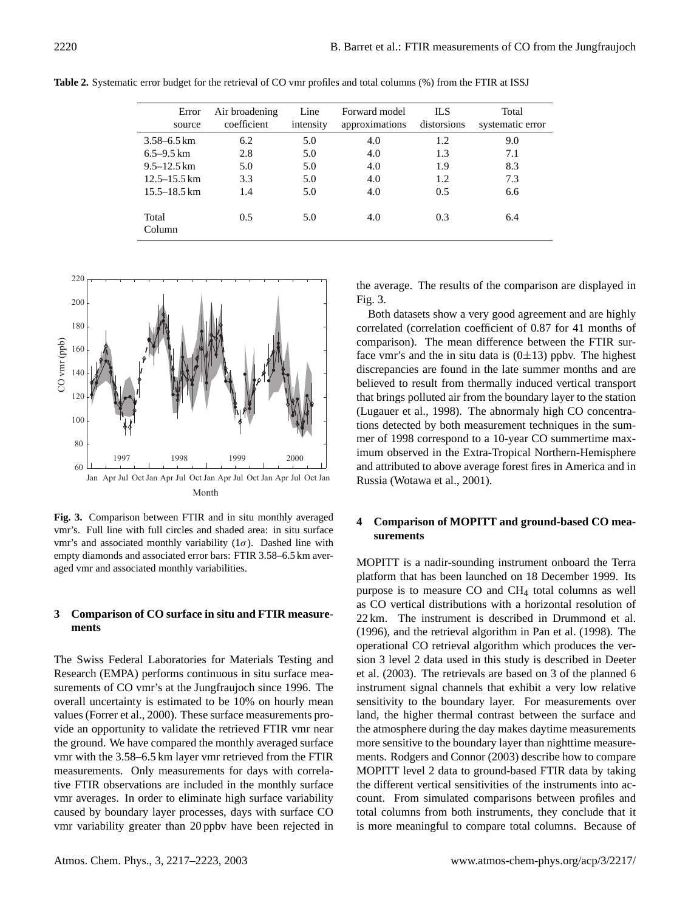| Error<br>source  | Air broadening<br>coefficient | Line<br>intensity | Forward model<br>approximations | IL S<br>distorsions | Total<br>systematic error |
|------------------|-------------------------------|-------------------|---------------------------------|---------------------|---------------------------|
| $3.58 - 6.5$ km  | 6.2                           | 5.0               | 4.0                             | 1.2                 | 9.0                       |
| $6.5 - 9.5$ km   | 2.8                           | 5.0               | 4.0                             | 1.3                 | 7.1                       |
| $9.5 - 12.5$ km  | 5.0                           | 5.0               | 4.0                             | 1.9                 | 8.3                       |
| $12.5 - 15.5$ km | 3.3                           | 5.0               | 4.0                             | 1.2                 | 7.3                       |
| $15.5 - 18.5$ km | 1.4                           | 5.0               | 4.0                             | 0.5                 | 6.6                       |
| Total<br>Column  | 0.5                           | 5.0               | 4.0                             | 0.3                 | 6.4                       |

**Table 2.** Systematic error budget for the retrieval of CO vmr profiles and total columns (%) from the FTIR at ISSJ



**Fig. 3.** Comparison between FTIR and in situ monthly averaged vmr's. Full line with full circles and shaded area: in situ surface vmr's and associated monthly variability  $(1\sigma)$ . Dashed line with empty diamonds and associated error bars: FTIR 3.58–6.5 km averaged vmr and associated monthly variabilities.

## **3 Comparison of CO surface in situ and FTIR measurements**

The Swiss Federal Laboratories for Materials Testing and Research (EMPA) performs continuous in situ surface measurements of CO vmr's at the Jungfraujoch since 1996. The overall uncertainty is estimated to be 10% on hourly mean values (Forrer et al., 2000). These surface measurements provide an opportunity to validate the retrieved FTIR vmr near the ground. We have compared the monthly averaged surface vmr with the 3.58–6.5 km layer vmr retrieved from the FTIR measurements. Only measurements for days with correlative FTIR observations are included in the monthly surface vmr averages. In order to eliminate high surface variability caused by boundary layer processes, days with surface CO vmr variability greater than 20 ppbv have been rejected in the average. The results of the comparison are displayed in Fig. 3.

Both datasets show a very good agreement and are highly correlated (correlation coefficient of 0.87 for 41 months of comparison). The mean difference between the FTIR surface vmr's and the in situ data is  $(0\pm 13)$  ppbv. The highest discrepancies are found in the late summer months and are believed to result from thermally induced vertical transport that brings polluted air from the boundary layer to the station (Lugauer et al., 1998). The abnormaly high CO concentrations detected by both measurement techniques in the summer of 1998 correspond to a 10-year CO summertime maximum observed in the Extra-Tropical Northern-Hemisphere and attributed to above average forest fires in America and in Russia (Wotawa et al., 2001).

## **4 Comparison of MOPITT and ground-based CO measurements**

MOPITT is a nadir-sounding instrument onboard the Terra platform that has been launched on 18 December 1999. Its purpose is to measure CO and CH<sup>4</sup> total columns as well as CO vertical distributions with a horizontal resolution of 22 km. The instrument is described in Drummond et al. (1996), and the retrieval algorithm in Pan et al. (1998). The operational CO retrieval algorithm which produces the version 3 level 2 data used in this study is described in Deeter et al. (2003). The retrievals are based on 3 of the planned 6 instrument signal channels that exhibit a very low relative sensitivity to the boundary layer. For measurements over land, the higher thermal contrast between the surface and the atmosphere during the day makes daytime measurements more sensitive to the boundary layer than nighttime measurements. Rodgers and Connor (2003) describe how to compare MOPITT level 2 data to ground-based FTIR data by taking the different vertical sensitivities of the instruments into account. From simulated comparisons between profiles and total columns from both instruments, they conclude that it is more meaningful to compare total columns. Because of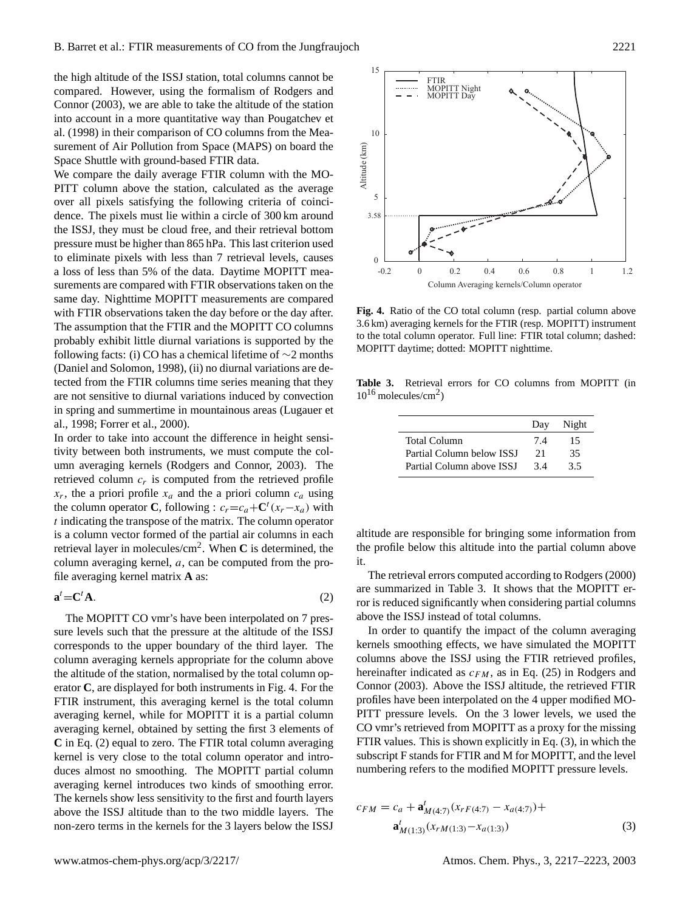the high altitude of the ISSJ station, total columns cannot be compared. However, using the formalism of Rodgers and Connor (2003), we are able to take the altitude of the station into account in a more quantitative way than Pougatchev et al. (1998) in their comparison of CO columns from the Measurement of Air Pollution from Space (MAPS) on board the Space Shuttle with ground-based FTIR data.

We compare the daily average FTIR column with the MO-PITT column above the station, calculated as the average over all pixels satisfying the following criteria of coincidence. The pixels must lie within a circle of 300 km around the ISSJ, they must be cloud free, and their retrieval bottom pressure must be higher than 865 hPa. This last criterion used to eliminate pixels with less than 7 retrieval levels, causes a loss of less than 5% of the data. Daytime MOPITT measurements are compared with FTIR observations taken on the same day. Nighttime MOPITT measurements are compared with FTIR observations taken the day before or the day after. The assumption that the FTIR and the MOPITT CO columns probably exhibit little diurnal variations is supported by the following facts: (i) CO has a chemical lifetime of  $\sim$ 2 months (Daniel and Solomon, 1998), (ii) no diurnal variations are detected from the FTIR columns time series meaning that they are not sensitive to diurnal variations induced by convection in spring and summertime in mountainous areas (Lugauer et al., 1998; Forrer et al., 2000).

In order to take into account the difference in height sensitivity between both instruments, we must compute the column averaging kernels (Rodgers and Connor, 2003). The retrieved column  $c_r$  is computed from the retrieved profile  $x_r$ , the a priori profile  $x_a$  and the a priori column  $c_a$  using the column operator **C**, following :  $c_r = c_a + C^t (x_r - x_a)$  with t indicating the transpose of the matrix. The column operator is a column vector formed of the partial air columns in each retrieval layer in molecules/cm<sup>2</sup> . When **C** is determined, the column averaging kernel,  $a$ , can be computed from the profile averaging kernel matrix **A** as:

$$
\mathbf{a}^t = \mathbf{C}^t \mathbf{A}.\tag{2}
$$

The MOPITT CO vmr's have been interpolated on 7 pressure levels such that the pressure at the altitude of the ISSJ corresponds to the upper boundary of the third layer. The column averaging kernels appropriate for the column above the altitude of the station, normalised by the total column operator **C**, are displayed for both instruments in Fig. 4. For the FTIR instrument, this averaging kernel is the total column averaging kernel, while for MOPITT it is a partial column averaging kernel, obtained by setting the first 3 elements of **C** in Eq. (2) equal to zero. The FTIR total column averaging kernel is very close to the total column operator and introduces almost no smoothing. The MOPITT partial column averaging kernel introduces two kinds of smoothing error. The kernels show less sensitivity to the first and fourth layers above the ISSJ altitude than to the two middle layers. The non-zero terms in the kernels for the 3 layers below the ISSJ



**Fig. 4.** Ratio of the CO total column (resp. partial column above 3.6 km) averaging kernels for the FTIR (resp. MOPITT) instrument to the total column operator. Full line: FTIR total column; dashed: MOPITT daytime; dotted: MOPITT nighttime.

**Table 3.** Retrieval errors for CO columns from MOPITT (in  $10^{16}$  molecules/cm<sup>2</sup>)

|                           | Day | Night |
|---------------------------|-----|-------|
| Total Column              | 74  | 15    |
| Partial Column below ISSI | 21  | 35    |
| Partial Column above ISSI | 34  | 3.5   |

altitude are responsible for bringing some information from the profile below this altitude into the partial column above it.

The retrieval errors computed according to Rodgers (2000) are summarized in Table 3. It shows that the MOPITT error is reduced significantly when considering partial columns above the ISSJ instead of total columns.

In order to quantify the impact of the column averaging kernels smoothing effects, we have simulated the MOPITT columns above the ISSJ using the FTIR retrieved profiles, hereinafter indicated as  $c_{FM}$ , as in Eq. (25) in Rodgers and Connor (2003). Above the ISSJ altitude, the retrieved FTIR profiles have been interpolated on the 4 upper modified MO-PITT pressure levels. On the 3 lower levels, we used the CO vmr's retrieved from MOPITT as a proxy for the missing FTIR values. This is shown explicitly in Eq. (3), in which the subscript F stands for FTIR and M for MOPITT, and the level numbering refers to the modified MOPITT pressure levels.

$$
c_{FM} = c_a + \mathbf{a}_{M(4:7)}^t (x_{rF(4:7)} - x_{a(4:7)}) + \mathbf{a}_{M(1:3)}^t (x_{rM(1:3)} - x_{a(1:3)})
$$
\n(3)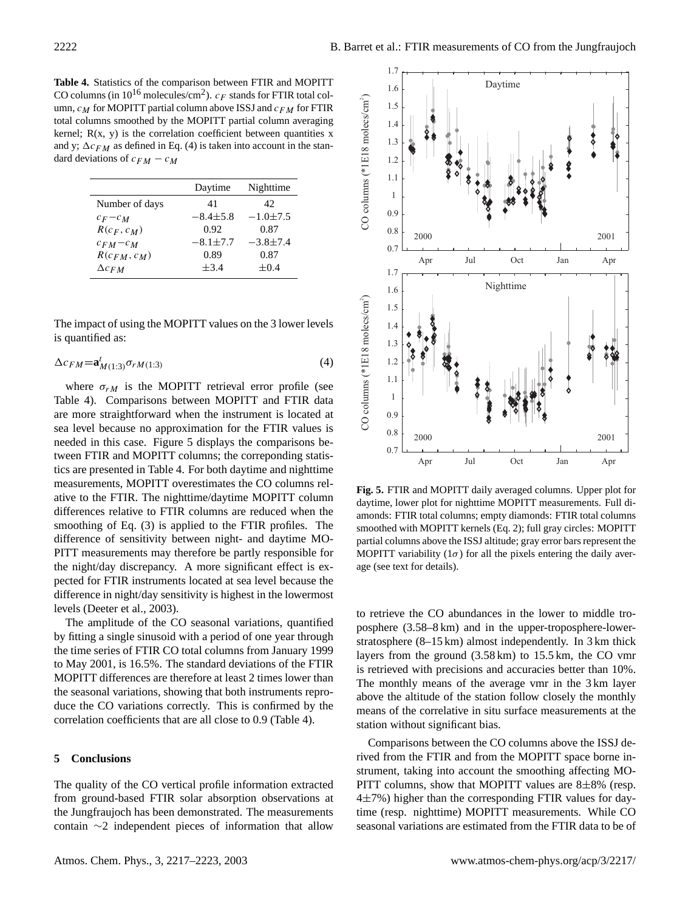**Table 4.** Statistics of the comparison between FTIR and MOPITT CO columns (in  $10^{16}$  molecules/cm<sup>2</sup>).  $c_F$  stands for FTIR total column,  $c_M$  for MOPITT partial column above ISSJ and  $c_{FM}$  for FTIR total columns smoothed by the MOPITT partial column averaging kernel;  $R(x, y)$  is the correlation coefficient between quantities x and y;  $\Delta c_{FM}$  as defined in Eq. (4) is taken into account in the standard deviations of  $c_{FM} - c_M$ 

|                  | Daytime        | Nighttime      |
|------------------|----------------|----------------|
| Number of days   | 41             | 42             |
| $c_F-c_M$        | $-8.4 \pm 5.8$ | $-1.0 \pm 7.5$ |
| $R(c_F, c_M)$    | 0.92           | 0.87           |
| $c_{FM}-c_M$     | $-8.1 \pm 7.7$ | $-3.8 \pm 7.4$ |
| $R(c_{FM}, c_M)$ | 0.89           | 0.87           |
| $\Delta c_{FM}$  | $\pm$ 3.4      | $\pm 0.4$      |

The impact of using the MOPITT values on the 3 lower levels is quantified as:

$$
\Delta c_{FM} = \mathbf{a}_{M(1:3)}^t \sigma_{rM(1:3)} \tag{4}
$$

where  $\sigma_{rM}$  is the MOPITT retrieval error profile (see Table 4). Comparisons between MOPITT and FTIR data are more straightforward when the instrument is located at sea level because no approximation for the FTIR values is needed in this case. Figure 5 displays the comparisons between FTIR and MOPITT columns; the correponding statistics are presented in Table 4. For both daytime and nighttime measurements, MOPITT overestimates the CO columns relative to the FTIR. The nighttime/daytime MOPITT column differences relative to FTIR columns are reduced when the smoothing of Eq. (3) is applied to the FTIR profiles. The difference of sensitivity between night- and daytime MO-PITT measurements may therefore be partly responsible for the night/day discrepancy. A more significant effect is expected for FTIR instruments located at sea level because the difference in night/day sensitivity is highest in the lowermost levels (Deeter et al., 2003).

The amplitude of the CO seasonal variations, quantified by fitting a single sinusoid with a period of one year through the time series of FTIR CO total columns from January 1999 to May 2001, is 16.5%. The standard deviations of the FTIR MOPITT differences are therefore at least 2 times lower than the seasonal variations, showing that both instruments reproduce the CO variations correctly. This is confirmed by the correlation coefficients that are all close to 0.9 (Table 4).

#### **5 Conclusions**

The quality of the CO vertical profile information extracted from ground-based FTIR solar absorption observations at the Jungfraujoch has been demonstrated. The measurements contain ∼2 independent pieces of information that allow



**Fig. 5.** FTIR and MOPITT daily averaged columns. Upper plot for daytime, lower plot for nighttime MOPITT measurements. Full diamonds: FTIR total columns; empty diamonds: FTIR total columns smoothed with MOPITT kernels (Eq. 2); full gray circles: MOPITT partial columns above the ISSJ altitude; gray error bars represent the MOPITT variability  $(1\sigma)$  for all the pixels entering the daily average (see text for details).

to retrieve the CO abundances in the lower to middle troposphere (3.58–8 km) and in the upper-troposphere-lowerstratosphere (8–15 km) almost independently. In 3 km thick layers from the ground (3.58 km) to 15.5 km, the CO vmr is retrieved with precisions and accuracies better than 10%. The monthly means of the average vmr in the 3 km layer above the altitude of the station follow closely the monthly means of the correlative in situ surface measurements at the station without significant bias.

Comparisons between the CO columns above the ISSJ derived from the FTIR and from the MOPITT space borne instrument, taking into account the smoothing affecting MO-PITT columns, show that MOPITT values are  $8\pm8\%$  (resp.  $4\pm7\%$ ) higher than the corresponding FTIR values for daytime (resp. nighttime) MOPITT measurements. While CO seasonal variations are estimated from the FTIR data to be of